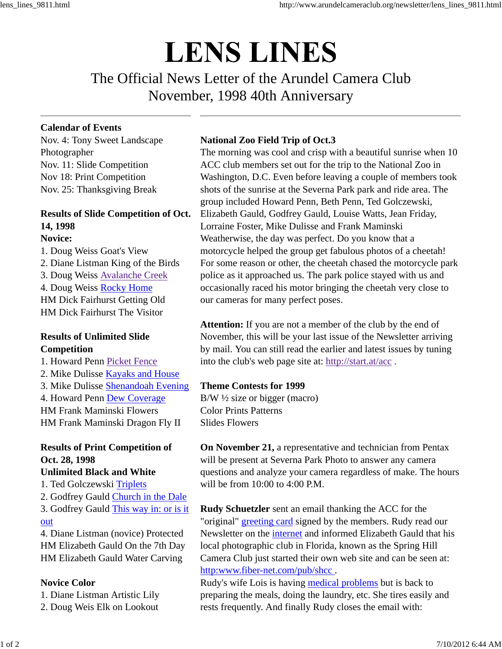# **LENS LINES**

The Official News Letter of the Arundel Camera Club November, 1998 40th Anniversary

#### **Calendar of Events**

Nov. 4: Tony Sweet Landscape Photographer Nov. 11: Slide Competition Nov 18: Print Competition Nov. 25: Thanksgiving Break

## **Results of Slide Competition of Oct. 14, 1998**

#### **Novice:**

1. Doug Weiss Goat's View 2. Diane Listman King of the Birds 3. Doug Weiss Avalanche Creek 4. Doug Weiss Rocky Home HM Dick Fairhurst Getting Old HM Dick Fairhurst The Visitor

#### **Results of Unlimited Slide Competition**

1. Howard Penn Picket Fence 2. Mike Dulisse Kayaks and House

3. Mike Dulisse Shenandoah Evening

4. Howard Penn Dew Coverage HM Frank Maminski Flowers

HM Frank Maminski Dragon Fly II

# **Results of Print Competition of Oct. 28, 1998**

### **Unlimited Black and White**

1. Ted Golczewski Triplets

2. Godfrey Gauld Church in the Dale 3. Godfrey Gauld This way in: or is it

#### out

4. Diane Listman (novice) Protected HM Elizabeth Gauld On the 7th Day HM Elizabeth Gauld Water Carving

#### **Novice Color**

1. Diane Listman Artistic Lily

2. Doug Weis Elk on Lookout

#### **National Zoo Field Trip of Oct.3**

The morning was cool and crisp with a beautiful sunrise when 10 ACC club members set out for the trip to the National Zoo in Washington, D.C. Even before leaving a couple of members took shots of the sunrise at the Severna Park park and ride area. The group included Howard Penn, Beth Penn, Ted Golczewski, Elizabeth Gauld, Godfrey Gauld, Louise Watts, Jean Friday, Lorraine Foster, Mike Dulisse and Frank Maminski Weatherwise, the day was perfect. Do you know that a motorcycle helped the group get fabulous photos of a cheetah! For some reason or other, the cheetah chased the motorcycle park police as it approached us. The park police stayed with us and occasionally raced his motor bringing the cheetah very close to our cameras for many perfect poses.

**Attention:** If you are not a member of the club by the end of November, this will be your last issue of the Newsletter arriving by mail. You can still read the earlier and latest issues by tuning into the club's web page site at: http://start.at/acc .

#### **Theme Contests for 1999**

B/W ½ size or bigger (macro) Color Prints Patterns Slides Flowers

**On November 21,** a representative and technician from Pentax will be present at Severna Park Photo to answer any camera questions and analyze your camera regardless of make. The hours will be from  $10:00$  to  $4:00$  PM.

**Rudy Schuetzler** sent an email thanking the ACC for the "original" greeting card signed by the members. Rudy read our Newsletter on the internet and informed Elizabeth Gauld that his local photographic club in Florida, known as the Spring Hill Camera Club just started their own web site and can be seen at: http:www.fiber-net.com/pub/shcc .

Rudy's wife Lois is having medical problems but is back to preparing the meals, doing the laundry, etc. She tires easily and rests frequently. And finally Rudy closes the email with: